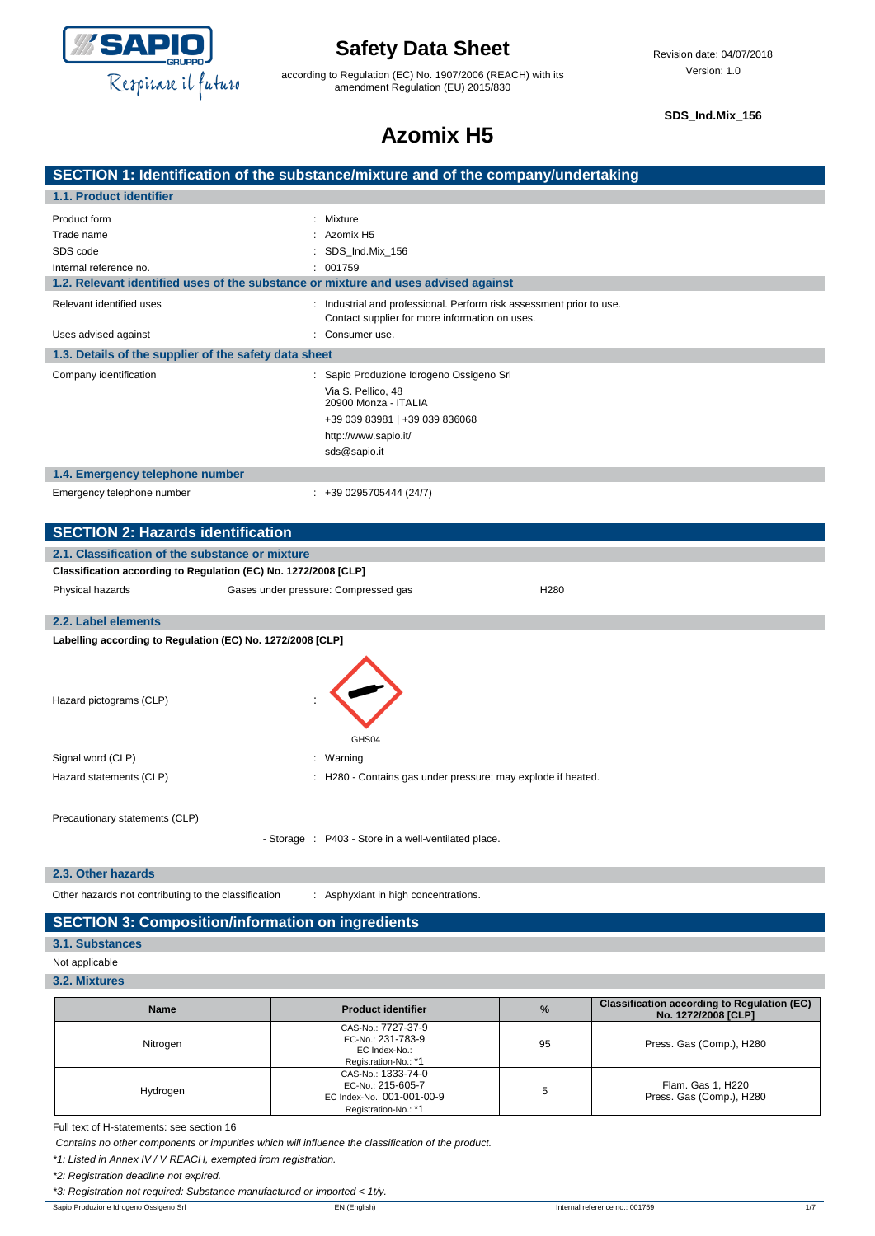

according to Regulation (EC) No. 1907/2006 (REACH) with its amendment Regulation (EU) 2015/830

**SDS\_Ind.Mix\_156**

# **Azomix H5**

|                                                                 | SECTION 1: Identification of the substance/mixture and of the company/undertaking                                                                              |  |
|-----------------------------------------------------------------|----------------------------------------------------------------------------------------------------------------------------------------------------------------|--|
| 1.1. Product identifier                                         |                                                                                                                                                                |  |
| Product form                                                    | Mixture                                                                                                                                                        |  |
| Trade name                                                      | Azomix H <sub>5</sub>                                                                                                                                          |  |
| SDS code                                                        | SDS_Ind.Mix_156                                                                                                                                                |  |
| Internal reference no.                                          | 001759                                                                                                                                                         |  |
|                                                                 | 1.2. Relevant identified uses of the substance or mixture and uses advised against                                                                             |  |
| Relevant identified uses                                        | : Industrial and professional. Perform risk assessment prior to use.<br>Contact supplier for more information on uses.                                         |  |
| Uses advised against                                            | : Consumer use.                                                                                                                                                |  |
| 1.3. Details of the supplier of the safety data sheet           |                                                                                                                                                                |  |
| Company identification                                          | Sapio Produzione Idrogeno Ossigeno Srl<br>Via S. Pellico, 48<br>20900 Monza - ITALIA<br>+39 039 83981   +39 039 836068<br>http://www.sapio.it/<br>sds@sapio.it |  |
| 1.4. Emergency telephone number                                 |                                                                                                                                                                |  |
| Emergency telephone number                                      | $: +390295705444(24/7)$                                                                                                                                        |  |
| <b>SECTION 2: Hazards identification</b>                        |                                                                                                                                                                |  |
| 2.1. Classification of the substance or mixture                 |                                                                                                                                                                |  |
| Classification according to Regulation (EC) No. 1272/2008 [CLP] |                                                                                                                                                                |  |
| Physical hazards                                                | Gases under pressure: Compressed gas<br>H280                                                                                                                   |  |
| 2.2. Label elements                                             |                                                                                                                                                                |  |
| Labelling according to Regulation (EC) No. 1272/2008 [CLP]      |                                                                                                                                                                |  |
| Hazard pictograms (CLP)                                         | GHS04                                                                                                                                                          |  |

Precautionary statements (CLP)

- Storage : P403 - Store in a well-ventilated place.

Hazard statements (CLP)  $\qquad \qquad$  : H280 - Contains gas under pressure; may explode if heated.

### **2.3. Other hazards**

Other hazards not contributing to the classification : Asphyxiant in high concentrations.

## **SECTION 3: Composition/information on ingredients**

Signal word (CLP)  $\qquad \qquad$ : Warning

### **3.1. Substances**

- Not applicable
- **3.2. Mixtures**

| <b>Name</b> | <b>Product identifier</b>                                                                     | $\%$ | <b>Classification according to Regulation (EC)</b><br>No. 1272/2008 [CLP] |
|-------------|-----------------------------------------------------------------------------------------------|------|---------------------------------------------------------------------------|
| Nitrogen    | CAS-No.: 7727-37-9<br>EC-No.: 231-783-9<br>EC Index-No.:<br>Registration-No.: *1              | 95   | Press. Gas (Comp.), H280                                                  |
| Hydrogen    | CAS-No.: 1333-74-0<br>EC-No.: 215-605-7<br>EC Index-No.: 001-001-00-9<br>Registration-No.: *1 |      | Flam. Gas 1, H220<br>Press. Gas (Comp.), H280                             |

Full text of H-statements: see section 16

*Contains no other components or impurities which will influence the classification of the product.*

*\*1: Listed in Annex IV / V REACH, exempted from registration.*

*\*2: Registration deadline not expired.*

*\*3: Registration not required: Substance manufactured or imported < 1t/y.*

Sapio Produzione Idrogeno Ossigeno Srl **EN (English)** Internal reference no.: 001759 1/7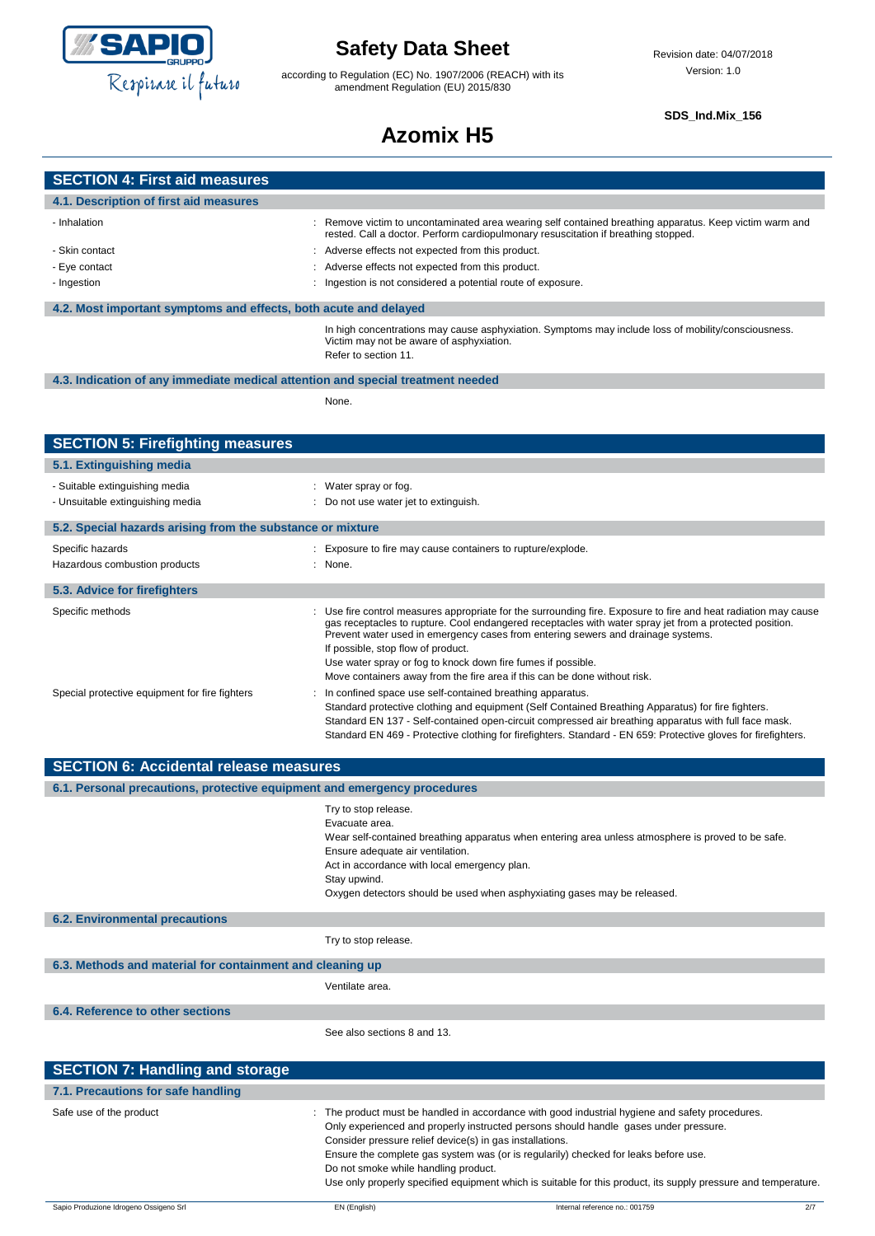

**SECTION 4: First aid measures 4.1. Description of first aid measures**

# **Safety Data Sheet**

according to Regulation (EC) No. 1907/2006 (REACH) with its amendment Regulation (EU) 2015/830

### **SDS\_Ind.Mix\_156**

# **Azomix H5**

| - Inhalation                                                                    | : Remove victim to uncontaminated area wearing self contained breathing apparatus. Keep victim warm and<br>rested. Call a doctor. Perform cardiopulmonary resuscitation if breathing stopped.                                                                                                                                                                                                                                                                                                     |
|---------------------------------------------------------------------------------|---------------------------------------------------------------------------------------------------------------------------------------------------------------------------------------------------------------------------------------------------------------------------------------------------------------------------------------------------------------------------------------------------------------------------------------------------------------------------------------------------|
| - Skin contact                                                                  | Adverse effects not expected from this product.                                                                                                                                                                                                                                                                                                                                                                                                                                                   |
| - Eye contact                                                                   | : Adverse effects not expected from this product.                                                                                                                                                                                                                                                                                                                                                                                                                                                 |
| - Ingestion                                                                     | : Ingestion is not considered a potential route of exposure.                                                                                                                                                                                                                                                                                                                                                                                                                                      |
| 4.2. Most important symptoms and effects, both acute and delayed                |                                                                                                                                                                                                                                                                                                                                                                                                                                                                                                   |
|                                                                                 | In high concentrations may cause asphyxiation. Symptoms may include loss of mobility/consciousness.<br>Victim may not be aware of asphyxiation.<br>Refer to section 11.                                                                                                                                                                                                                                                                                                                           |
| 4.3. Indication of any immediate medical attention and special treatment needed |                                                                                                                                                                                                                                                                                                                                                                                                                                                                                                   |
|                                                                                 | None.                                                                                                                                                                                                                                                                                                                                                                                                                                                                                             |
|                                                                                 |                                                                                                                                                                                                                                                                                                                                                                                                                                                                                                   |
| <b>SECTION 5: Firefighting measures</b>                                         |                                                                                                                                                                                                                                                                                                                                                                                                                                                                                                   |
| 5.1. Extinguishing media                                                        |                                                                                                                                                                                                                                                                                                                                                                                                                                                                                                   |
| - Suitable extinguishing media                                                  | : Water spray or fog.                                                                                                                                                                                                                                                                                                                                                                                                                                                                             |
| - Unsuitable extinguishing media                                                | : Do not use water jet to extinguish.                                                                                                                                                                                                                                                                                                                                                                                                                                                             |
| 5.2. Special hazards arising from the substance or mixture                      |                                                                                                                                                                                                                                                                                                                                                                                                                                                                                                   |
| Specific hazards                                                                | : Exposure to fire may cause containers to rupture/explode.                                                                                                                                                                                                                                                                                                                                                                                                                                       |
| Hazardous combustion products                                                   | : None.                                                                                                                                                                                                                                                                                                                                                                                                                                                                                           |
| 5.3. Advice for firefighters                                                    |                                                                                                                                                                                                                                                                                                                                                                                                                                                                                                   |
| Specific methods                                                                | : Use fire control measures appropriate for the surrounding fire. Exposure to fire and heat radiation may cause<br>gas receptacles to rupture. Cool endangered receptacles with water spray jet from a protected position.<br>Prevent water used in emergency cases from entering sewers and drainage systems.<br>If possible, stop flow of product.<br>Use water spray or fog to knock down fire fumes if possible.<br>Move containers away from the fire area if this can be done without risk. |
| Special protective equipment for fire fighters                                  | In confined space use self-contained breathing apparatus.<br>Standard protective clothing and equipment (Self Contained Breathing Apparatus) for fire fighters.<br>Standard EN 137 - Self-contained open-circuit compressed air breathing apparatus with full face mask.<br>Standard EN 469 - Protective clothing for firefighters. Standard - EN 659: Protective gloves for firefighters.                                                                                                        |
| <b>SECTION 6: Accidental release measures</b>                                   |                                                                                                                                                                                                                                                                                                                                                                                                                                                                                                   |

| 6.1. Personal precautions, protective equipment and emergency procedures |                                                                                                                                                                                                                                                                                                                                                                                                                                                                                                    |
|--------------------------------------------------------------------------|----------------------------------------------------------------------------------------------------------------------------------------------------------------------------------------------------------------------------------------------------------------------------------------------------------------------------------------------------------------------------------------------------------------------------------------------------------------------------------------------------|
|                                                                          | Try to stop release.<br>Evacuate area.<br>Wear self-contained breathing apparatus when entering area unless atmosphere is proved to be safe.<br>Ensure adequate air ventilation.<br>Act in accordance with local emergency plan.<br>Stay upwind.<br>Oxygen detectors should be used when asphyxiating gases may be released.                                                                                                                                                                       |
| <b>6.2. Environmental precautions</b>                                    |                                                                                                                                                                                                                                                                                                                                                                                                                                                                                                    |
|                                                                          | Try to stop release.                                                                                                                                                                                                                                                                                                                                                                                                                                                                               |
| 6.3. Methods and material for containment and cleaning up                |                                                                                                                                                                                                                                                                                                                                                                                                                                                                                                    |
|                                                                          | Ventilate area.                                                                                                                                                                                                                                                                                                                                                                                                                                                                                    |
| 6.4. Reference to other sections                                         |                                                                                                                                                                                                                                                                                                                                                                                                                                                                                                    |
|                                                                          | See also sections 8 and 13.                                                                                                                                                                                                                                                                                                                                                                                                                                                                        |
| <b>SECTION 7: Handling and storage</b>                                   |                                                                                                                                                                                                                                                                                                                                                                                                                                                                                                    |
| 7.1. Precautions for safe handling                                       |                                                                                                                                                                                                                                                                                                                                                                                                                                                                                                    |
| Safe use of the product                                                  | The product must be handled in accordance with good industrial hygiene and safety procedures.<br>Only experienced and properly instructed persons should handle gases under pressure.<br>Consider pressure relief device(s) in gas installations.<br>Ensure the complete gas system was (or is regularily) checked for leaks before use.<br>Do not smoke while handling product.<br>Use only properly specified equipment which is suitable for this product, its supply pressure and temperature. |
| Sapio Produzione Idrogeno Ossigeno Srl                                   | Internal reference no.: 001759<br>EN (English)<br>2/7                                                                                                                                                                                                                                                                                                                                                                                                                                              |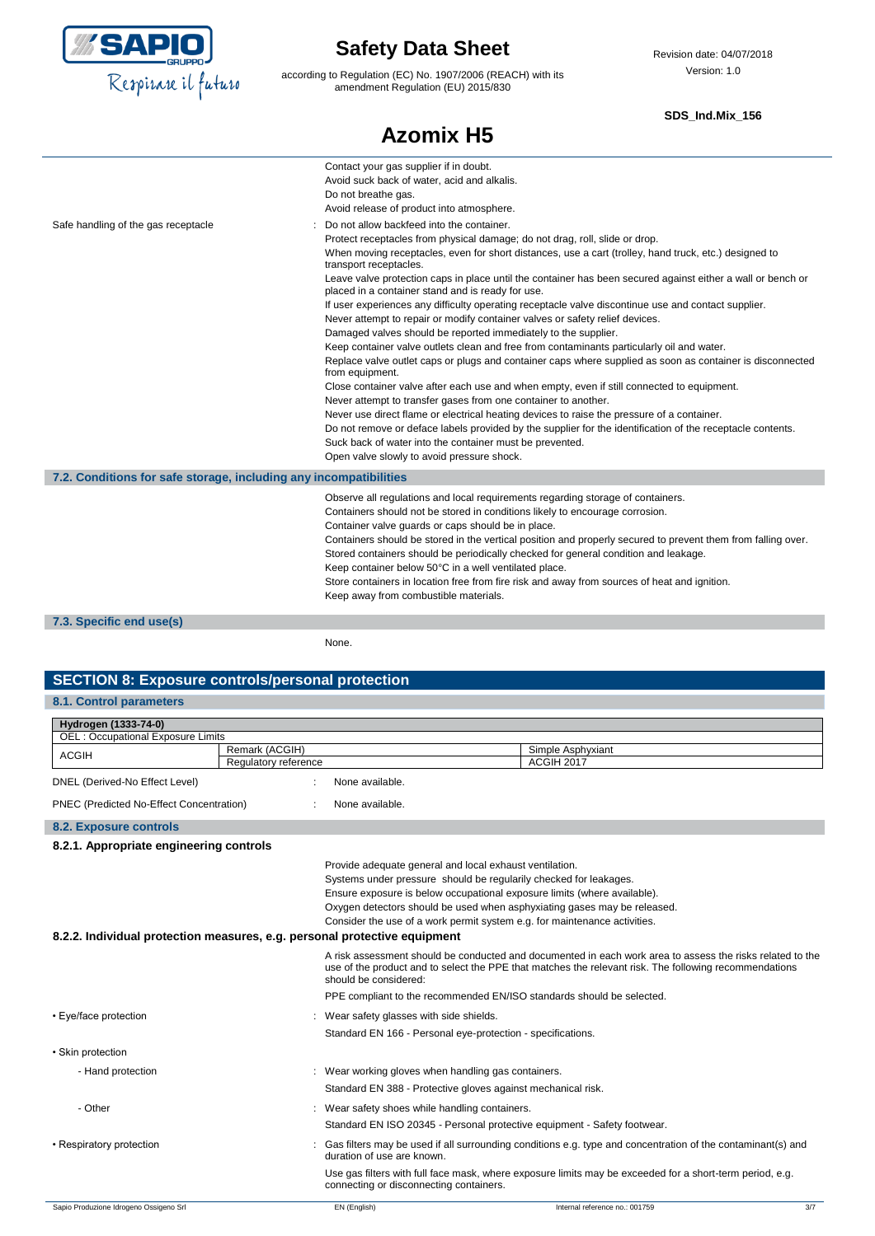

according to Regulation (EC) No. 1907/2006 (REACH) with its amendment Regulation (EU) 2015/830

#### **SDS\_Ind.Mix\_156**

|                                                                   | <b>Azomix H5</b>                                                                                                                                                                                                                                                                                                                                                                                                                                                                                                                                                                                                                                                                                                                                                                                                                                                                                                                                                                                                                                                                                                                                                                                                                                                                                                                                                                                            |
|-------------------------------------------------------------------|-------------------------------------------------------------------------------------------------------------------------------------------------------------------------------------------------------------------------------------------------------------------------------------------------------------------------------------------------------------------------------------------------------------------------------------------------------------------------------------------------------------------------------------------------------------------------------------------------------------------------------------------------------------------------------------------------------------------------------------------------------------------------------------------------------------------------------------------------------------------------------------------------------------------------------------------------------------------------------------------------------------------------------------------------------------------------------------------------------------------------------------------------------------------------------------------------------------------------------------------------------------------------------------------------------------------------------------------------------------------------------------------------------------|
|                                                                   | Contact your gas supplier if in doubt.<br>Avoid suck back of water, acid and alkalis.<br>Do not breathe gas.<br>Avoid release of product into atmosphere.                                                                                                                                                                                                                                                                                                                                                                                                                                                                                                                                                                                                                                                                                                                                                                                                                                                                                                                                                                                                                                                                                                                                                                                                                                                   |
| Safe handling of the gas receptacle                               | Do not allow backfeed into the container.<br>Protect receptacles from physical damage; do not drag, roll, slide or drop.<br>When moving receptacles, even for short distances, use a cart (trolley, hand truck, etc.) designed to<br>transport receptacles.<br>Leave valve protection caps in place until the container has been secured against either a wall or bench or<br>placed in a container stand and is ready for use.<br>If user experiences any difficulty operating receptacle valve discontinue use and contact supplier.<br>Never attempt to repair or modify container valves or safety relief devices.<br>Damaged valves should be reported immediately to the supplier.<br>Keep container valve outlets clean and free from contaminants particularly oil and water.<br>Replace valve outlet caps or plugs and container caps where supplied as soon as container is disconnected<br>from equipment.<br>Close container valve after each use and when empty, even if still connected to equipment.<br>Never attempt to transfer gases from one container to another.<br>Never use direct flame or electrical heating devices to raise the pressure of a container.<br>Do not remove or deface labels provided by the supplier for the identification of the receptacle contents.<br>Suck back of water into the container must be prevented.<br>Open valve slowly to avoid pressure shock. |
| 7.2. Conditions for safe storage, including any incompatibilities |                                                                                                                                                                                                                                                                                                                                                                                                                                                                                                                                                                                                                                                                                                                                                                                                                                                                                                                                                                                                                                                                                                                                                                                                                                                                                                                                                                                                             |
|                                                                   | Observe all regulations and local requirements regarding storage of containers.<br>Containers should not be stored in conditions likely to encourage corrosion.<br>Container valve guards or caps should be in place.<br>Containers should be stored in the vertical position and properly secured to prevent them from falling over.<br>Stored containers should be periodically checked for general condition and leakage.<br>Keep container below 50°C in a well ventilated place.<br>Store containers in location free from fire risk and away from sources of heat and ignition.<br>Keep away from combustible materials.                                                                                                                                                                                                                                                                                                                                                                                                                                                                                                                                                                                                                                                                                                                                                                              |
| 7.3. Specific end use(s)                                          |                                                                                                                                                                                                                                                                                                                                                                                                                                                                                                                                                                                                                                                                                                                                                                                                                                                                                                                                                                                                                                                                                                                                                                                                                                                                                                                                                                                                             |

None.

### **SECTION 8: Exposure controls/personal protection**

### **8.1. Control parameters**

| Hydrogen (1333-74-0)                     |                                                                           |                                                                                                                                                                                                                     |
|------------------------------------------|---------------------------------------------------------------------------|---------------------------------------------------------------------------------------------------------------------------------------------------------------------------------------------------------------------|
| OEL: Occupational Exposure Limits        |                                                                           |                                                                                                                                                                                                                     |
| <b>ACGIH</b>                             | Remark (ACGIH)                                                            | Simple Asphyxiant                                                                                                                                                                                                   |
|                                          | Regulatory reference                                                      | <b>ACGIH 2017</b>                                                                                                                                                                                                   |
| DNEL (Derived-No Effect Level)           | None available.                                                           |                                                                                                                                                                                                                     |
| PNEC (Predicted No-Effect Concentration) | None available.                                                           |                                                                                                                                                                                                                     |
| 8.2. Exposure controls                   |                                                                           |                                                                                                                                                                                                                     |
| 8.2.1. Appropriate engineering controls  |                                                                           |                                                                                                                                                                                                                     |
|                                          |                                                                           | Provide adequate general and local exhaust ventilation.                                                                                                                                                             |
|                                          |                                                                           | Systems under pressure should be regularily checked for leakages.                                                                                                                                                   |
|                                          |                                                                           | Ensure exposure is below occupational exposure limits (where available).                                                                                                                                            |
|                                          |                                                                           | Oxygen detectors should be used when asphyxiating gases may be released.                                                                                                                                            |
|                                          |                                                                           | Consider the use of a work permit system e.g. for maintenance activities.                                                                                                                                           |
|                                          | 8.2.2. Individual protection measures, e.g. personal protective equipment |                                                                                                                                                                                                                     |
|                                          | should be considered:                                                     | A risk assessment should be conducted and documented in each work area to assess the risks related to the<br>use of the product and to select the PPE that matches the relevant risk. The following recommendations |
|                                          |                                                                           | PPE compliant to the recommended EN/ISO standards should be selected.                                                                                                                                               |
| • Eye/face protection                    | Wear safety glasses with side shields.                                    |                                                                                                                                                                                                                     |
|                                          |                                                                           | Standard EN 166 - Personal eye-protection - specifications.                                                                                                                                                         |
| • Skin protection                        |                                                                           |                                                                                                                                                                                                                     |
| - Hand protection                        |                                                                           | : Wear working gloves when handling gas containers.                                                                                                                                                                 |
|                                          |                                                                           | Standard EN 388 - Protective gloves against mechanical risk.                                                                                                                                                        |
| - Other                                  | : Wear safety shoes while handling containers.                            |                                                                                                                                                                                                                     |
|                                          |                                                                           | Standard EN ISO 20345 - Personal protective equipment - Safety footwear.                                                                                                                                            |
| • Respiratory protection                 | duration of use are known.                                                | Gas filters may be used if all surrounding conditions e.g. type and concentration of the contaminant(s) and                                                                                                         |
|                                          | connecting or disconnecting containers.                                   | Use gas filters with full face mask, where exposure limits may be exceeded for a short-term period, e.g.                                                                                                            |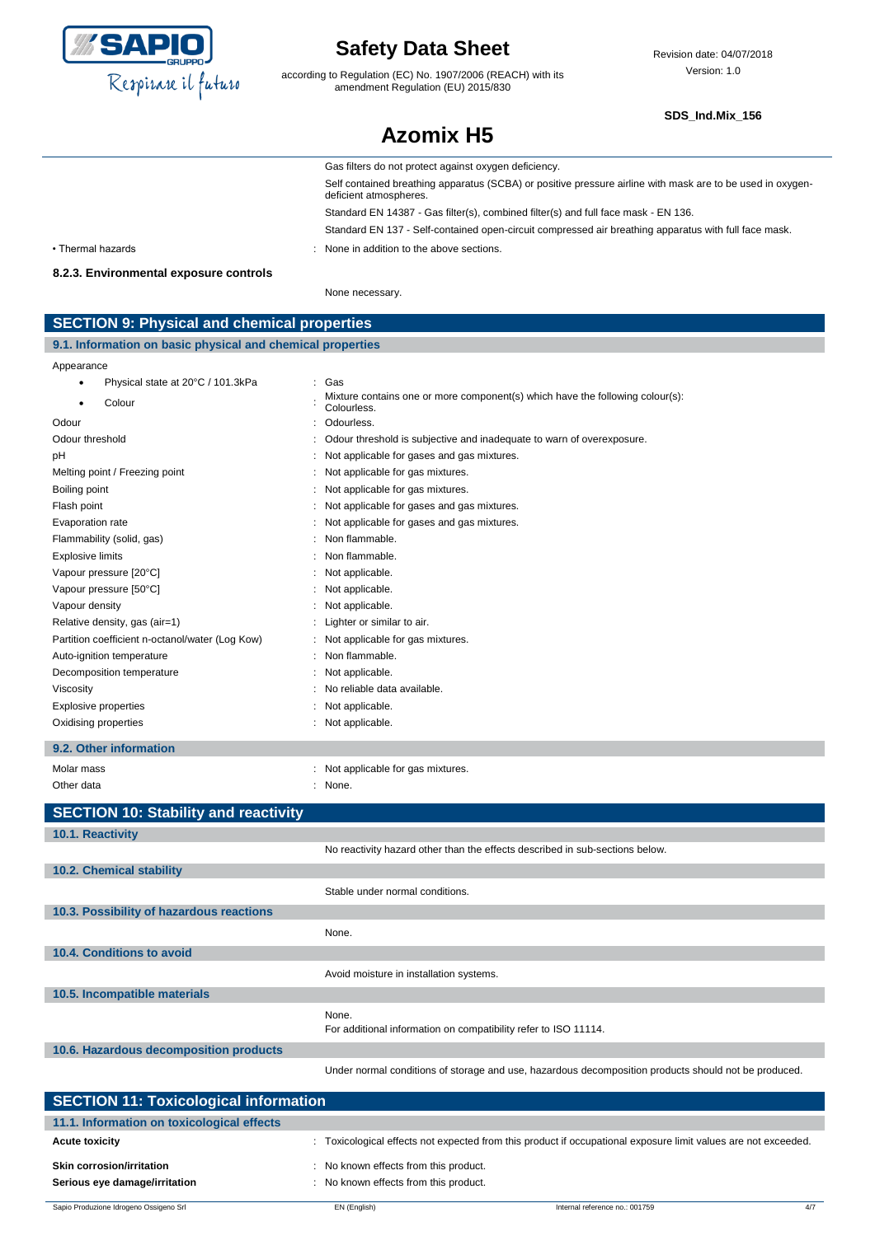

according to Regulation (EC) No. 1907/2006 (REACH) with its amendment Regulation (EU) 2015/830

Revision date: 04/07/2018 Version: 1.0

#### **SDS\_Ind.Mix\_156**

|                                                            | <b>Azomix H5</b>                                                                                                                     |
|------------------------------------------------------------|--------------------------------------------------------------------------------------------------------------------------------------|
|                                                            | Gas filters do not protect against oxygen deficiency.                                                                                |
|                                                            | Self contained breathing apparatus (SCBA) or positive pressure airline with mask are to be used in oxygen-<br>deficient atmospheres. |
|                                                            | Standard EN 14387 - Gas filter(s), combined filter(s) and full face mask - EN 136.                                                   |
|                                                            | Standard EN 137 - Self-contained open-circuit compressed air breathing apparatus with full face mask.                                |
| • Thermal hazards                                          | None in addition to the above sections.                                                                                              |
| 8.2.3. Environmental exposure controls                     |                                                                                                                                      |
|                                                            | None necessary.                                                                                                                      |
| <b>SECTION 9: Physical and chemical properties</b>         |                                                                                                                                      |
| 9.1. Information on basic physical and chemical properties |                                                                                                                                      |

### Appearance • Physical state at 20°C / 101.3kPa : Gas Colour : Mixture contains one or more component(s) which have the following colour(s): Colourless. Odour : Odourless. Odour threshold **Solution** : Odour threshold is subjective and inadequate to warn of overexposure. pH : Not applicable for gases and gas mixtures. Melting point / Freezing point **contains the container of the container of the Melting point of the contains of the contains of the contains and melting point of the contains and melting**  $\alpha$  **of the contains and melting po** Boiling point **Example 20** Boiling point **:** Not applicable for gas mixtures. Flash point **Flash point** : Not applicable for gases and gas mixtures. Evaporation rate **Example 20** and the state of the state of the state of the state of the state of the state of the state of the state of the state of the state of the state of the state of the state of the state of the st Flammability (solid, gas) **in the set of the set of the set of the set of the set of the set of the set of the set of the set of the set of the set of the set of the set of the set of the set of the set of the set of the s** Explosive limits **Explosive Limits Explosive Limits Explosive Limits Explosive Limits Explosive Limits EXPLOSIVE 2018** Vapour pressure [20°C]  $\blacksquare$  : Not applicable. Vapour pressure [50°C]  $\blacksquare$  : Not applicable. Vapour density in the contract of the contract of the contract of the contract of the contract of the contract of the contract of the contract of the contract of the contract of the contract of the contract of the contract Relative density, gas (air=1) : Lighter or similar to air. Partition coefficient n-octanol/water (Log Kow) : Not applicable for gas mixtures. Auto-ignition temperature in the state of the state of the state of the Auto-ignition temperature in the state of the state of the state of the Suite of the Suite of the Suite of the Suite of the Suite of the Suite of the Decomposition temperature in the set of the set of the Not applicable. Viscosity : No reliable data available. Explosive properties in the set of the set of the set of the set of the set of the set of the set of the set of the set of the set of the set of the set of the set of the set of the set of the set of the set of the set of Oxidising properties **in the contract of the Contract Automobile** of the Contract of the Contract of the Contract of the Contract of the Contract of the Contract of the Contract of the Contract of the Contract of the Contr **9.2. Other information** Molar mass **EXECUTE:** Not applicable for gas mixtures. Other data : None. 2012 12: None. **SECTION 10: Stability and reactivity 10.1. Reactivity** No reactivity hazard other than the effects described in sub-sections below. **10.2. Chemical stability** Stable under normal conditions. **10.3. Possibility of hazardous reactions** None. **10.4. Conditions to avoid** Avoid moisture in installation systems. **10.5. Incompatible materials** None. For additional information on compatibility refer to ISO 11114. **10.6. Hazardous decomposition products**

| <b>SECTION 11: Toxicological information</b>                      |                                                                                                                |  |
|-------------------------------------------------------------------|----------------------------------------------------------------------------------------------------------------|--|
| 11.1. Information on toxicological effects                        |                                                                                                                |  |
| <b>Acute toxicity</b>                                             | : Toxicological effects not expected from this product if occupational exposure limit values are not exceeded. |  |
| <b>Skin corrosion/irritation</b><br>Serious eye damage/irritation | : No known effects from this product.<br>: No known effects from this product.                                 |  |

Under normal conditions of storage and use, hazardous decomposition products should not be produced.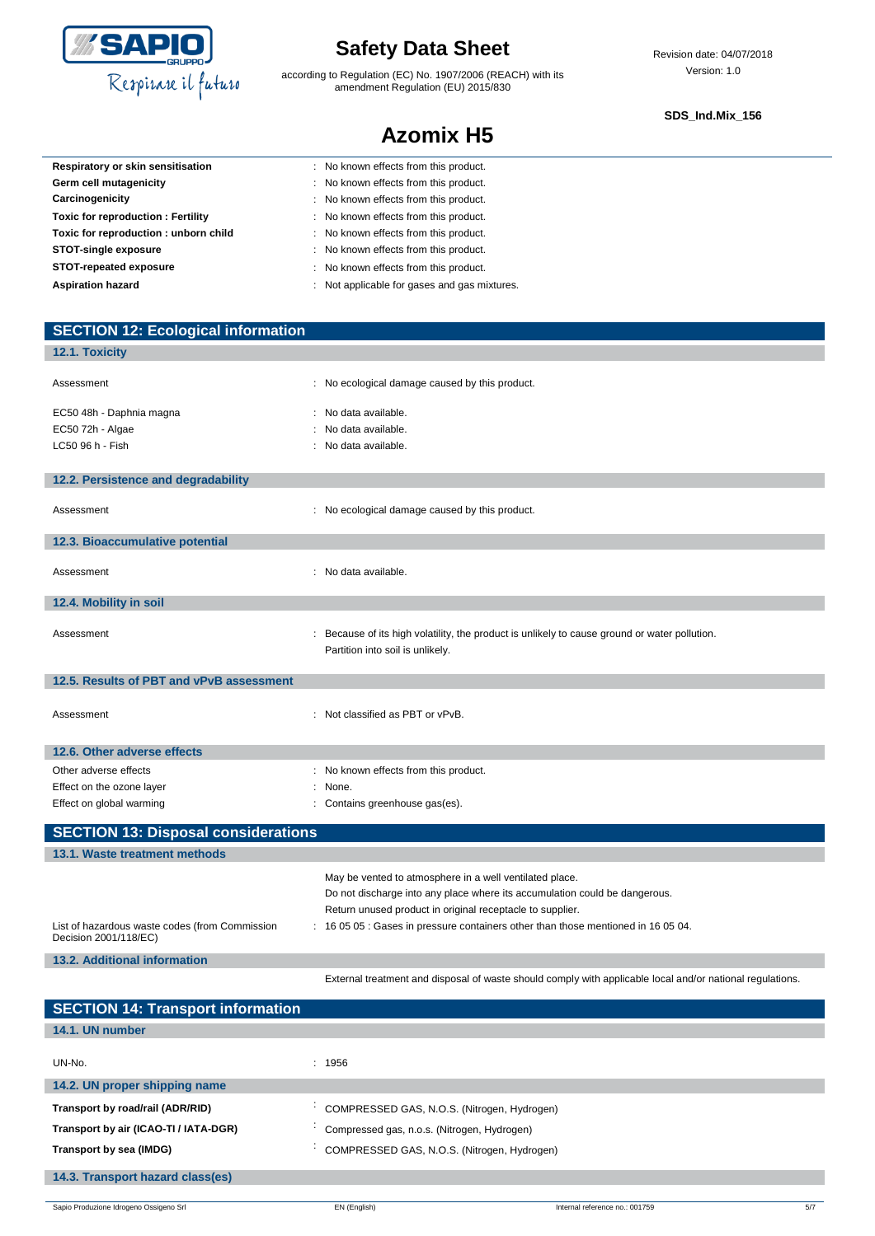

**SECTION 12: Ecological information**

# **Safety Data Sheet**

according to Regulation (EC) No. 1907/2006 (REACH) with its amendment Regulation (EU) 2015/830

**Azomix H5**

#### **SDS\_Ind.Mix\_156**

| Respiratory or skin sensitisation        | : No known effects from this product.        |
|------------------------------------------|----------------------------------------------|
| Germ cell mutagenicity                   | : No known effects from this product.        |
| Carcinogenicity                          | : No known effects from this product.        |
| <b>Toxic for reproduction: Fertility</b> | : No known effects from this product.        |
| Toxic for reproduction: unborn child     | : No known effects from this product.        |
| STOT-single exposure                     | : No known effects from this product.        |
| STOT-repeated exposure                   | : No known effects from this product.        |
| <b>Aspiration hazard</b>                 | : Not applicable for gases and gas mixtures. |
|                                          |                                              |

| 12.1. Toxicity                                 |                                                                                                           |
|------------------------------------------------|-----------------------------------------------------------------------------------------------------------|
| Assessment                                     | : No ecological damage caused by this product.                                                            |
|                                                |                                                                                                           |
| EC50 48h - Daphnia magna                       | : No data available.                                                                                      |
| EC50 72h - Algae                               | : No data available.                                                                                      |
| LC50 96 h - Fish                               | : No data available.                                                                                      |
|                                                |                                                                                                           |
| 12.2. Persistence and degradability            |                                                                                                           |
|                                                |                                                                                                           |
| Assessment                                     | : No ecological damage caused by this product.                                                            |
| 12.3. Bioaccumulative potential                |                                                                                                           |
|                                                |                                                                                                           |
| Assessment                                     | : No data available.                                                                                      |
|                                                |                                                                                                           |
| 12.4. Mobility in soil                         |                                                                                                           |
|                                                |                                                                                                           |
| Assessment                                     | : Because of its high volatility, the product is unlikely to cause ground or water pollution.             |
|                                                | Partition into soil is unlikely.                                                                          |
| 12.5. Results of PBT and vPvB assessment       |                                                                                                           |
|                                                |                                                                                                           |
| Assessment                                     | : Not classified as PBT or vPvB.                                                                          |
|                                                |                                                                                                           |
| 12.6. Other adverse effects                    |                                                                                                           |
| Other adverse effects                          | : No known effects from this product.                                                                     |
| Effect on the ozone layer                      | : None.                                                                                                   |
| Effect on global warming                       | : Contains greenhouse gas(es).                                                                            |
|                                                |                                                                                                           |
| <b>SECTION 13: Disposal considerations</b>     |                                                                                                           |
| 13.1. Waste treatment methods                  |                                                                                                           |
|                                                | May be vented to atmosphere in a well ventilated place.                                                   |
|                                                | Do not discharge into any place where its accumulation could be dangerous.                                |
|                                                | Return unused product in original receptacle to supplier.                                                 |
| List of hazardous waste codes (from Commission | : 16 05 05 : Gases in pressure containers other than those mentioned in 16 05 04.                         |
| Decision 2001/118/EC)                          |                                                                                                           |
| <b>13.2. Additional information</b>            |                                                                                                           |
|                                                | External treatment and disposal of waste should comply with applicable local and/or national regulations. |

| <b>SECTION 14: Transport information</b> |                                             |
|------------------------------------------|---------------------------------------------|
| 14.1. UN number                          |                                             |
| UN-No.                                   | : 1956                                      |
|                                          |                                             |
| 14.2. UN proper shipping name            |                                             |
| Transport by road/rail (ADR/RID)         | COMPRESSED GAS, N.O.S. (Nitrogen, Hydrogen) |
| Transport by air (ICAO-TI / IATA-DGR)    | Compressed gas, n.o.s. (Nitrogen, Hydrogen) |
| Transport by sea (IMDG)                  | COMPRESSED GAS, N.O.S. (Nitrogen, Hydrogen) |
| 14.3. Transport hazard class(es)         |                                             |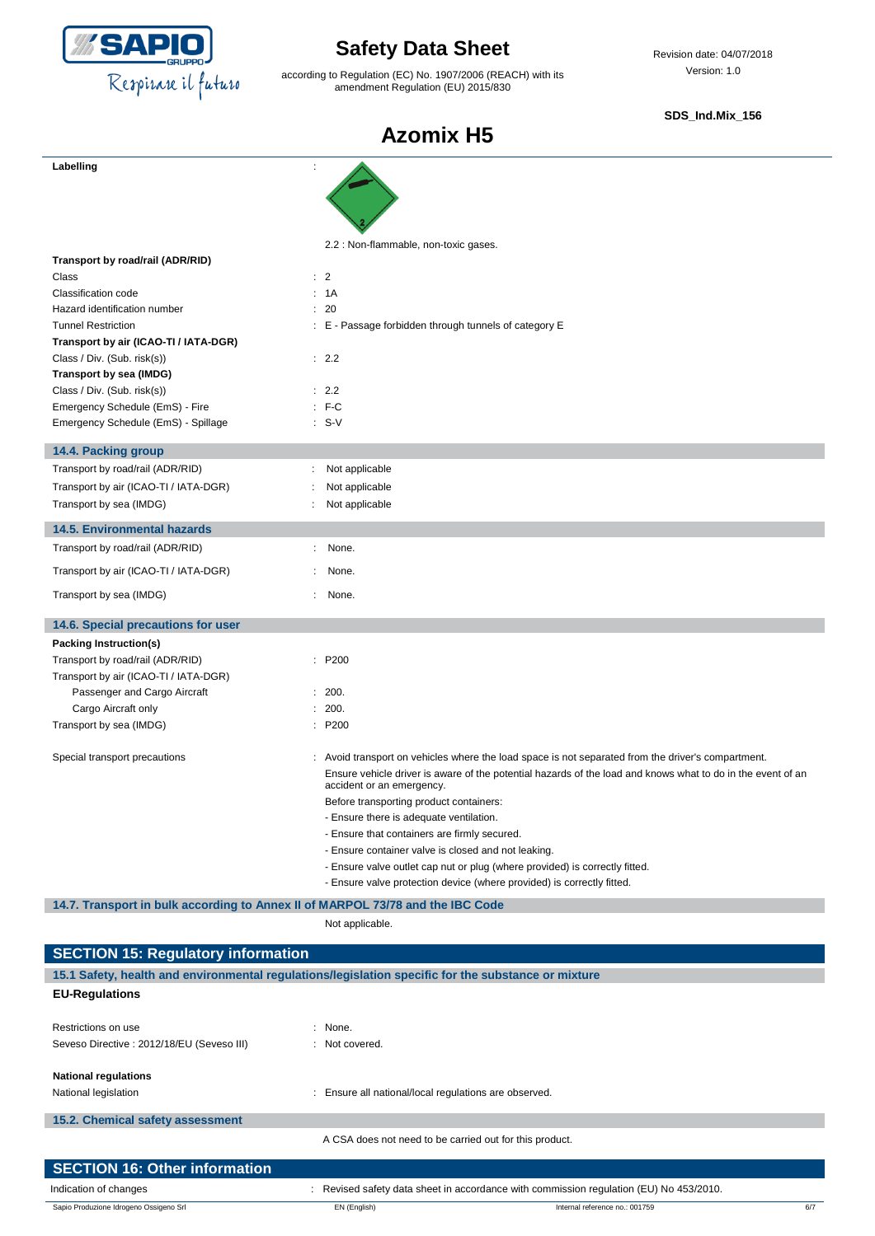

according to Regulation (EC) No. 1907/2006 (REACH) with its amendment Regulation (EU) 2015/830

Revision date: 04/07/2018 Version: 1.0

**SDS\_Ind.Mix\_156**

| Labelling                                                                      |                                                                                                                                          |
|--------------------------------------------------------------------------------|------------------------------------------------------------------------------------------------------------------------------------------|
|                                                                                |                                                                                                                                          |
|                                                                                |                                                                                                                                          |
|                                                                                |                                                                                                                                          |
|                                                                                | 2.2 : Non-flammable, non-toxic gases.                                                                                                    |
| Transport by road/rail (ADR/RID)                                               |                                                                                                                                          |
| Class                                                                          | : 2                                                                                                                                      |
| Classification code                                                            | : 1A                                                                                                                                     |
| Hazard identification number                                                   | : 20                                                                                                                                     |
| <b>Tunnel Restriction</b>                                                      | : E - Passage forbidden through tunnels of category E                                                                                    |
| Transport by air (ICAO-TI / IATA-DGR)                                          |                                                                                                                                          |
| Class / Div. (Sub. risk(s))                                                    | $\therefore$ 2.2                                                                                                                         |
| Transport by sea (IMDG)                                                        |                                                                                                                                          |
| Class / Div. (Sub. risk(s))                                                    | : 2.2                                                                                                                                    |
| Emergency Schedule (EmS) - Fire                                                | $F-C$                                                                                                                                    |
| Emergency Schedule (EmS) - Spillage                                            | $: S-V$                                                                                                                                  |
|                                                                                |                                                                                                                                          |
| 14.4. Packing group                                                            |                                                                                                                                          |
| Transport by road/rail (ADR/RID)                                               | Not applicable<br>÷                                                                                                                      |
| Transport by air (ICAO-TI / IATA-DGR)                                          | Not applicable                                                                                                                           |
| Transport by sea (IMDG)                                                        | Not applicable                                                                                                                           |
| <b>14.5. Environmental hazards</b>                                             |                                                                                                                                          |
| Transport by road/rail (ADR/RID)                                               | None.<br>÷.                                                                                                                              |
|                                                                                |                                                                                                                                          |
| Transport by air (ICAO-TI / IATA-DGR)                                          | None.                                                                                                                                    |
| Transport by sea (IMDG)                                                        | None.                                                                                                                                    |
| 14.6. Special precautions for user                                             |                                                                                                                                          |
| Packing Instruction(s)                                                         |                                                                                                                                          |
| Transport by road/rail (ADR/RID)                                               | P <sub>200</sub>                                                                                                                         |
| Transport by air (ICAO-TI / IATA-DGR)                                          |                                                                                                                                          |
| Passenger and Cargo Aircraft                                                   | : 200.                                                                                                                                   |
| Cargo Aircraft only                                                            | 200.                                                                                                                                     |
| Transport by sea (IMDG)                                                        | : P200                                                                                                                                   |
|                                                                                |                                                                                                                                          |
| Special transport precautions                                                  | : Avoid transport on vehicles where the load space is not separated from the driver's compartment.                                       |
|                                                                                | Ensure vehicle driver is aware of the potential hazards of the load and knows what to do in the event of an<br>accident or an emergency. |
|                                                                                | Before transporting product containers:                                                                                                  |
|                                                                                | - Ensure there is adequate ventilation.                                                                                                  |
|                                                                                | - Ensure that containers are firmly secured.                                                                                             |
|                                                                                | - Ensure container valve is closed and not leaking.                                                                                      |
|                                                                                | - Ensure valve outlet cap nut or plug (where provided) is correctly fitted.                                                              |
|                                                                                | - Ensure valve protection device (where provided) is correctly fitted.                                                                   |
| 14.7. Transport in bulk according to Annex II of MARPOL 73/78 and the IBC Code |                                                                                                                                          |

|                                                                                                     | Not applicable.                                                                        |  |  |
|-----------------------------------------------------------------------------------------------------|----------------------------------------------------------------------------------------|--|--|
| <b>SECTION 15: Regulatory information</b>                                                           |                                                                                        |  |  |
| 15.1 Safety, health and environmental requlations/legislation specific for the substance or mixture |                                                                                        |  |  |
| <b>EU-Regulations</b>                                                                               |                                                                                        |  |  |
| Restrictions on use                                                                                 | : None.                                                                                |  |  |
| Seveso Directive : 2012/18/EU (Seveso III)                                                          | : Not covered.                                                                         |  |  |
| <b>National regulations</b>                                                                         |                                                                                        |  |  |
| National legislation                                                                                | : Ensure all national/local regulations are observed.                                  |  |  |
| 15.2. Chemical safety assessment                                                                    |                                                                                        |  |  |
|                                                                                                     | A CSA does not need to be carried out for this product.                                |  |  |
| <b>SECTION 16: Other information</b>                                                                |                                                                                        |  |  |
| Indication of changes                                                                               | : Revised safety data sheet in accordance with commission regulation (EU) No 453/2010. |  |  |